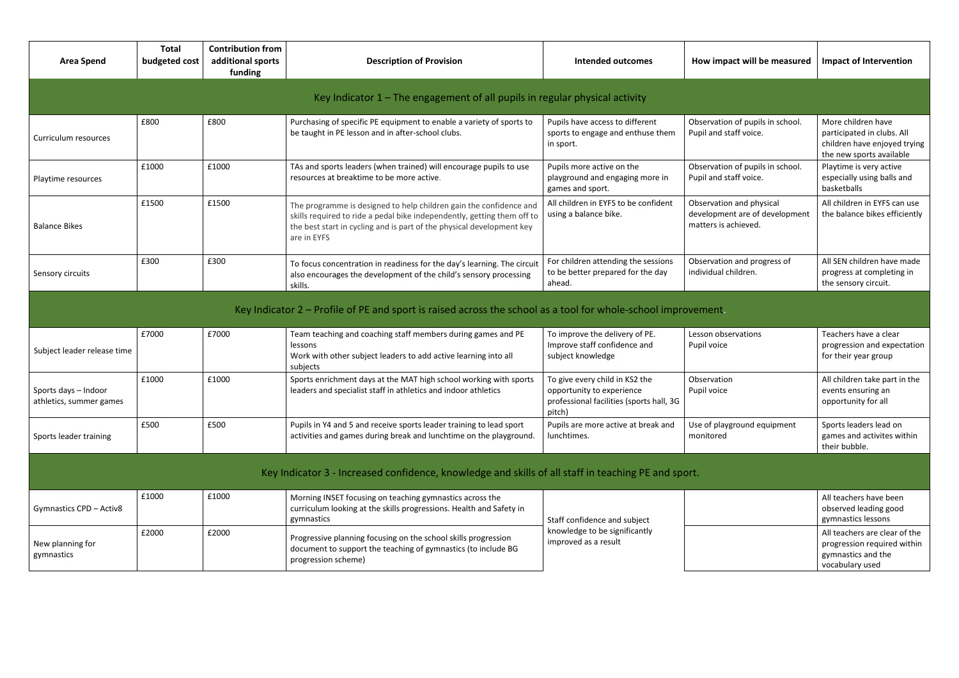| <b>Area Spend</b>                                                             | <b>Total</b><br>budgeted cost | <b>Contribution from</b><br>additional sports<br>funding | <b>Description of Provision</b>                                                                                                                                                                                                       | <b>Intended outcomes</b>                                                                                          | How impact will be measured                                                        | <b>Impact of Intervention</b>                                                                                |  |  |  |  |  |
|-------------------------------------------------------------------------------|-------------------------------|----------------------------------------------------------|---------------------------------------------------------------------------------------------------------------------------------------------------------------------------------------------------------------------------------------|-------------------------------------------------------------------------------------------------------------------|------------------------------------------------------------------------------------|--------------------------------------------------------------------------------------------------------------|--|--|--|--|--|
| Key Indicator $1$ – The engagement of all pupils in regular physical activity |                               |                                                          |                                                                                                                                                                                                                                       |                                                                                                                   |                                                                                    |                                                                                                              |  |  |  |  |  |
| Curriculum resources                                                          | £800                          | £800                                                     | Purchasing of specific PE equipment to enable a variety of sports to<br>be taught in PE lesson and in after-school clubs.                                                                                                             | Pupils have access to different<br>sports to engage and enthuse them<br>in sport.                                 | Observation of pupils in school.<br>Pupil and staff voice.                         | More children have<br>participated in clubs. All<br>children have enjoyed trying<br>the new sports available |  |  |  |  |  |
| Playtime resources                                                            | £1000                         | £1000                                                    | TAs and sports leaders (when trained) will encourage pupils to use<br>resources at breaktime to be more active.                                                                                                                       | Pupils more active on the<br>playground and engaging more in<br>games and sport.                                  | Observation of pupils in school.<br>Pupil and staff voice.                         | Playtime is very active<br>especially using balls and<br>basketballs                                         |  |  |  |  |  |
| <b>Balance Bikes</b>                                                          | £1500                         | £1500                                                    | The programme is designed to help children gain the confidence and<br>skills required to ride a pedal bike independently, getting them off to<br>the best start in cycling and is part of the physical development key<br>are in EYFS | All children in EYFS to be confident<br>using a balance bike.                                                     | Observation and physical<br>development are of development<br>matters is achieved. | All children in EYFS can use<br>the balance bikes efficiently                                                |  |  |  |  |  |
| Sensory circuits                                                              | £300                          | £300                                                     | To focus concentration in readiness for the day's learning. The circuit<br>also encourages the development of the child's sensory processing<br>skills.                                                                               | For children attending the sessions<br>to be better prepared for the day<br>ahead.                                | Observation and progress of<br>individual children.                                | All SEN children have made<br>progress at completing in<br>the sensory circuit.                              |  |  |  |  |  |
|                                                                               |                               |                                                          | Key Indicator $2$ – Profile of PE and sport is raised across the school as a tool for whole-school improvement.                                                                                                                       |                                                                                                                   |                                                                                    |                                                                                                              |  |  |  |  |  |
| Subject leader release time                                                   | £7000                         | £7000                                                    | Team teaching and coaching staff members during games and PE<br>lessons<br>Work with other subject leaders to add active learning into all<br>subjects                                                                                | To improve the delivery of PE.<br>Improve staff confidence and<br>subject knowledge                               | Lesson observations<br>Pupil voice                                                 | Teachers have a clear<br>progression and expectation<br>for their year group                                 |  |  |  |  |  |
| Sports days - Indoor<br>athletics, summer games                               | £1000                         | £1000                                                    | Sports enrichment days at the MAT high school working with sports<br>leaders and specialist staff in athletics and indoor athletics                                                                                                   | To give every child in KS2 the<br>opportunity to experience<br>professional facilities (sports hall, 3G<br>pitch) | Observation<br>Pupil voice                                                         | All children take part in the<br>events ensuring an<br>opportunity for all                                   |  |  |  |  |  |
| Sports leader training                                                        | £500                          | £500                                                     | Pupils in Y4 and 5 and receive sports leader training to lead sport<br>activities and games during break and lunchtime on the playground.                                                                                             | Pupils are more active at break and<br>lunchtimes.                                                                | Use of playground equipment<br>monitored                                           | Sports leaders lead on<br>games and activites within<br>their bubble.                                        |  |  |  |  |  |
|                                                                               |                               |                                                          | Key Indicator 3 - Increased confidence, knowledge and skills of all staff in teaching PE and sport.                                                                                                                                   |                                                                                                                   |                                                                                    |                                                                                                              |  |  |  |  |  |
| <b>Gymnastics CPD - Activ8</b>                                                | £1000                         | £1000                                                    | Morning INSET focusing on teaching gymnastics across the<br>curriculum looking at the skills progressions. Health and Safety in<br>gymnastics                                                                                         | Staff confidence and subject<br>knowledge to be significantly<br>improved as a result                             |                                                                                    | All teachers have been<br>observed leading good<br>gymnastics lessons                                        |  |  |  |  |  |
| New planning for<br>gymnastics                                                | £2000                         | £2000                                                    | Progressive planning focusing on the school skills progression<br>document to support the teaching of gymnastics (to include BG<br>progression scheme)                                                                                |                                                                                                                   |                                                                                    | All teachers are clear of the<br>progression required within<br>gymnastics and the<br>vocabulary used        |  |  |  |  |  |